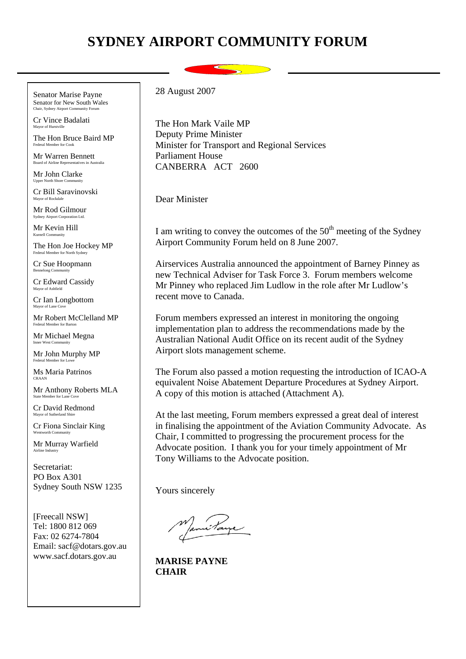## **SYDNEY AIRPORT COMMUNITY FORUM**

Senator Marise Payne Senator for New South Wales **Lair, Sydney Airport Community** 

Cr Vince Badalati Mayor of Hurstville

The Hon Bruce Baird MP Federal Member for Cook

Mr Warren Bennett Board of Airline Representatives in Australia.

Mr John Clarke Upper North Shore Community

Cr Bill Saravinovski Mayor of Rockdale

Mr Rod Gilmour Sydney Airport Corporation Ltd.

Mr Kevin Hill Kurnell Community

The Hon Joe Hockey MP Federal Member for North Sydney

Cr Sue Hoopmann Bennelong Community

Cr Edward Cassidy Mayor of Ashfield

Cr Ian Longbottom Mayor of Lane  $C$ 

Mr Robert McClelland MP Federal Member for Barton

Mr Michael Megna Inner West Community

Mr John Murphy MP Federal Member for Lowe

Ms Maria Patrinos CRAAN

Mr Anthony Roberts MLA State Member for Lan

Cr David Redmond Mayor of Sutherland Shir

Cr Fiona Sinclair King Wentworth Community

Mr Murray Warfield Airline Industry

Secretariat: PO Box A301 Sydney South NSW 1235

[Freecall NSW] Tel: 1800 812 069 Fax: 02 6274-7804 Email: sacf@dotars.gov.au www.sacf.dotars.gov.au

28 August 2007

The Hon Mark Vaile MP Deputy Prime Minister Minister for Transport and Regional Services Parliament House CANBERRA ACT 2600

Dear Minister

I am writing to convey the outcomes of the  $50<sup>th</sup>$  meeting of the Sydney Airport Community Forum held on 8 June 2007.

Airservices Australia announced the appointment of Barney Pinney as new Technical Adviser for Task Force 3. Forum members welcome Mr Pinney who replaced Jim Ludlow in the role after Mr Ludlow's recent move to Canada.

Forum members expressed an interest in monitoring the ongoing implementation plan to address the recommendations made by the Australian National Audit Office on its recent audit of the Sydney Airport slots management scheme.

The Forum also passed a motion requesting the introduction of ICAO-A equivalent Noise Abatement Departure Procedures at Sydney Airport. A copy of this motion is attached (Attachment A).

At the last meeting, Forum members expressed a great deal of interest in finalising the appointment of the Aviation Community Advocate. As Chair, I committed to progressing the procurement process for the Advocate position. I thank you for your timely appointment of Mr Tony Williams to the Advocate position.

Yours sincerely

**MARISE PAYNE CHAIR**